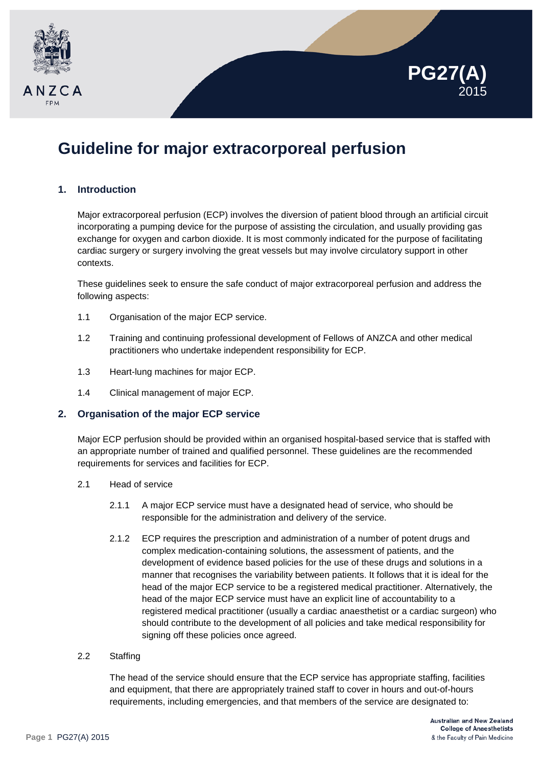



# **Guideline for major extracorporeal perfusion**

## **1. Introduction**

Major extracorporeal perfusion (ECP) involves the diversion of patient blood through an artificial circuit incorporating a pumping device for the purpose of assisting the circulation, and usually providing gas exchange for oxygen and carbon dioxide. It is most commonly indicated for the purpose of facilitating cardiac surgery or surgery involving the great vessels but may involve circulatory support in other contexts.

These guidelines seek to ensure the safe conduct of major extracorporeal perfusion and address the following aspects:

- 1.1 Organisation of the major ECP service.
- 1.2 Training and continuing professional development of Fellows of ANZCA and other medical practitioners who undertake independent responsibility for ECP.
- 1.3 Heart-lung machines for major ECP.
- 1.4 Clinical management of major ECP.

#### **2. Organisation of the major ECP service**

Major ECP perfusion should be provided within an organised hospital-based service that is staffed with an appropriate number of trained and qualified personnel. These guidelines are the recommended requirements for services and facilities for ECP.

- 2.1 Head of service
	- 2.1.1 A major ECP service must have a designated head of service, who should be responsible for the administration and delivery of the service.
	- 2.1.2 ECP requires the prescription and administration of a number of potent drugs and complex medication-containing solutions, the assessment of patients, and the development of evidence based policies for the use of these drugs and solutions in a manner that recognises the variability between patients. It follows that it is ideal for the head of the major ECP service to be a registered medical practitioner. Alternatively, the head of the major ECP service must have an explicit line of accountability to a registered medical practitioner (usually a cardiac anaesthetist or a cardiac surgeon) who should contribute to the development of all policies and take medical responsibility for signing off these policies once agreed.

#### 2.2 Staffing

The head of the service should ensure that the ECP service has appropriate staffing, facilities and equipment, that there are appropriately trained staff to cover in hours and out-of-hours requirements, including emergencies, and that members of the service are designated to: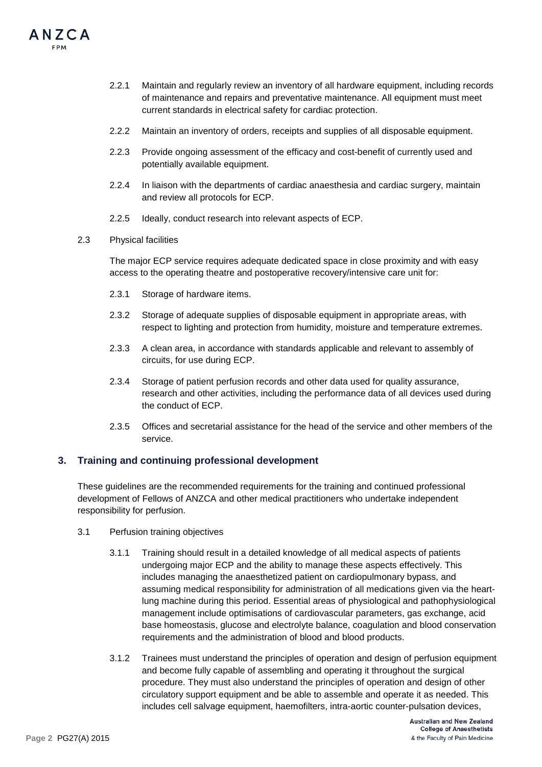

- 2.2.1 Maintain and regularly review an inventory of all hardware equipment, including records of maintenance and repairs and preventative maintenance. All equipment must meet current standards in electrical safety for cardiac protection.
- 2.2.2 Maintain an inventory of orders, receipts and supplies of all disposable equipment.
- 2.2.3 Provide ongoing assessment of the efficacy and cost-benefit of currently used and potentially available equipment.
- 2.2.4 In liaison with the departments of cardiac anaesthesia and cardiac surgery, maintain and review all protocols for ECP.
- 2.2.5 Ideally, conduct research into relevant aspects of ECP.
- 2.3 Physical facilities

The major ECP service requires adequate dedicated space in close proximity and with easy access to the operating theatre and postoperative recovery/intensive care unit for:

- 2.3.1 Storage of hardware items.
- 2.3.2 Storage of adequate supplies of disposable equipment in appropriate areas, with respect to lighting and protection from humidity, moisture and temperature extremes.
- 2.3.3 A clean area, in accordance with standards applicable and relevant to assembly of circuits, for use during ECP.
- 2.3.4 Storage of patient perfusion records and other data used for quality assurance, research and other activities, including the performance data of all devices used during the conduct of ECP.
- 2.3.5 Offices and secretarial assistance for the head of the service and other members of the service.

#### **3. Training and continuing professional development**

These guidelines are the recommended requirements for the training and continued professional development of Fellows of ANZCA and other medical practitioners who undertake independent responsibility for perfusion.

- 3.1 Perfusion training objectives
	- 3.1.1 Training should result in a detailed knowledge of all medical aspects of patients undergoing major ECP and the ability to manage these aspects effectively. This includes managing the anaesthetized patient on cardiopulmonary bypass, and assuming medical responsibility for administration of all medications given via the heartlung machine during this period. Essential areas of physiological and pathophysiological management include optimisations of cardiovascular parameters, gas exchange, acid base homeostasis, glucose and electrolyte balance, coagulation and blood conservation requirements and the administration of blood and blood products.
	- 3.1.2 Trainees must understand the principles of operation and design of perfusion equipment and become fully capable of assembling and operating it throughout the surgical procedure. They must also understand the principles of operation and design of other circulatory support equipment and be able to assemble and operate it as needed. This includes cell salvage equipment, haemofilters, intra-aortic counter-pulsation devices,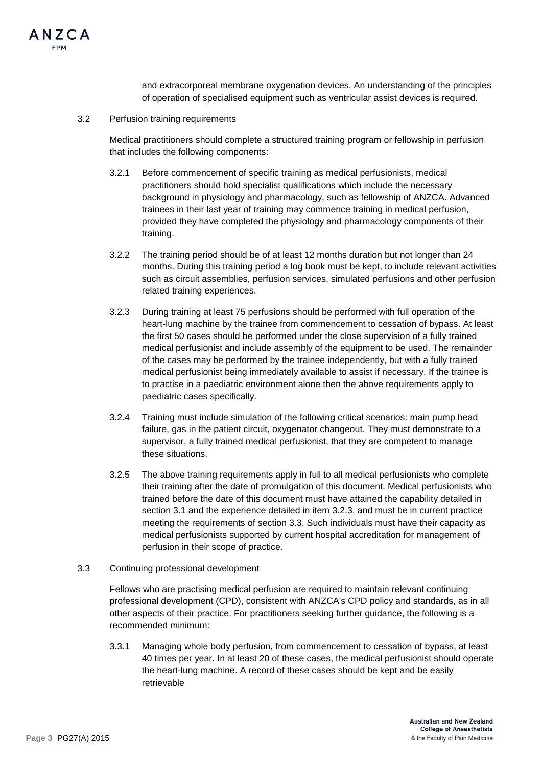

and extracorporeal membrane oxygenation devices. An understanding of the principles of operation of specialised equipment such as ventricular assist devices is required.

3.2 Perfusion training requirements

Medical practitioners should complete a structured training program or fellowship in perfusion that includes the following components:

- 3.2.1 Before commencement of specific training as medical perfusionists, medical practitioners should hold specialist qualifications which include the necessary background in physiology and pharmacology, such as fellowship of ANZCA. Advanced trainees in their last year of training may commence training in medical perfusion, provided they have completed the physiology and pharmacology components of their training.
- 3.2.2 The training period should be of at least 12 months duration but not longer than 24 months. During this training period a log book must be kept, to include relevant activities such as circuit assemblies, perfusion services, simulated perfusions and other perfusion related training experiences.
- 3.2.3 During training at least 75 perfusions should be performed with full operation of the heart-lung machine by the trainee from commencement to cessation of bypass. At least the first 50 cases should be performed under the close supervision of a fully trained medical perfusionist and include assembly of the equipment to be used. The remainder of the cases may be performed by the trainee independently, but with a fully trained medical perfusionist being immediately available to assist if necessary. If the trainee is to practise in a paediatric environment alone then the above requirements apply to paediatric cases specifically.
- 3.2.4 Training must include simulation of the following critical scenarios: main pump head failure, gas in the patient circuit, oxygenator changeout. They must demonstrate to a supervisor, a fully trained medical perfusionist, that they are competent to manage these situations.
- 3.2.5 The above training requirements apply in full to all medical perfusionists who complete their training after the date of promulgation of this document. Medical perfusionists who trained before the date of this document must have attained the capability detailed in section 3.1 and the experience detailed in item 3.2.3, and must be in current practice meeting the requirements of section 3.3. Such individuals must have their capacity as medical perfusionists supported by current hospital accreditation for management of perfusion in their scope of practice.
- 3.3 Continuing professional development

Fellows who are practising medical perfusion are required to maintain relevant continuing professional development (CPD), consistent with ANZCA's CPD policy and standards, as in all other aspects of their practice. For practitioners seeking further guidance, the following is a recommended minimum:

3.3.1 Managing whole body perfusion, from commencement to cessation of bypass, at least 40 times per year. In at least 20 of these cases, the medical perfusionist should operate the heart-lung machine. A record of these cases should be kept and be easily retrievable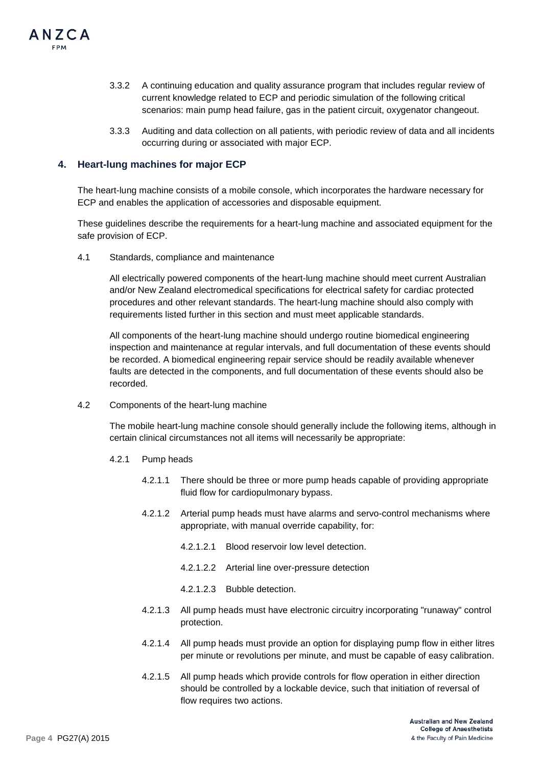

- 3.3.2 A continuing education and quality assurance program that includes regular review of current knowledge related to ECP and periodic simulation of the following critical scenarios: main pump head failure, gas in the patient circuit, oxygenator changeout.
- 3.3.3 Auditing and data collection on all patients, with periodic review of data and all incidents occurring during or associated with major ECP.

#### **4. Heart-lung machines for major ECP**

The heart-lung machine consists of a mobile console, which incorporates the hardware necessary for ECP and enables the application of accessories and disposable equipment.

These guidelines describe the requirements for a heart-lung machine and associated equipment for the safe provision of ECP.

4.1 Standards, compliance and maintenance

All electrically powered components of the heart-lung machine should meet current Australian and/or New Zealand electromedical specifications for electrical safety for cardiac protected procedures and other relevant standards. The heart-lung machine should also comply with requirements listed further in this section and must meet applicable standards.

All components of the heart-lung machine should undergo routine biomedical engineering inspection and maintenance at regular intervals, and full documentation of these events should be recorded. A biomedical engineering repair service should be readily available whenever faults are detected in the components, and full documentation of these events should also be recorded.

4.2 Components of the heart-lung machine

The mobile heart-lung machine console should generally include the following items, although in certain clinical circumstances not all items will necessarily be appropriate:

- 4.2.1 Pump heads
	- 4.2.1.1 There should be three or more pump heads capable of providing appropriate fluid flow for cardiopulmonary bypass.
	- 4.2.1.2 Arterial pump heads must have alarms and servo-control mechanisms where appropriate, with manual override capability, for:
		- 4.2.1.2.1 Blood reservoir low level detection.
		- 4.2.1.2.2 Arterial line over-pressure detection
		- 4.2.1.2.3 Bubble detection.
	- 4.2.1.3 All pump heads must have electronic circuitry incorporating "runaway" control protection.
	- 4.2.1.4 All pump heads must provide an option for displaying pump flow in either litres per minute or revolutions per minute, and must be capable of easy calibration.
	- 4.2.1.5 All pump heads which provide controls for flow operation in either direction should be controlled by a lockable device, such that initiation of reversal of flow requires two actions.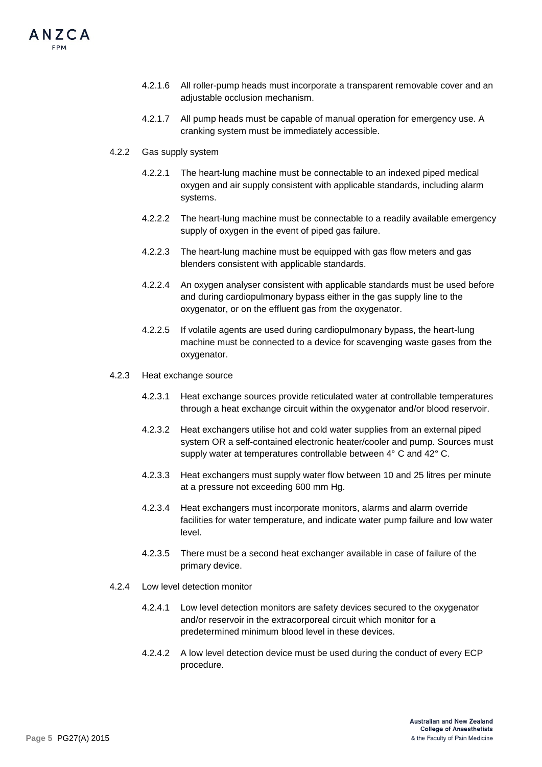- 4.2.1.6 All roller-pump heads must incorporate a transparent removable cover and an adiustable occlusion mechanism.
- 4.2.1.7 All pump heads must be capable of manual operation for emergency use. A cranking system must be immediately accessible.
- 4.2.2 Gas supply system
	- 4.2.2.1 The heart-lung machine must be connectable to an indexed piped medical oxygen and air supply consistent with applicable standards, including alarm systems.
	- 4.2.2.2 The heart-lung machine must be connectable to a readily available emergency supply of oxygen in the event of piped gas failure.
	- 4.2.2.3 The heart-lung machine must be equipped with gas flow meters and gas blenders consistent with applicable standards.
	- 4.2.2.4 An oxygen analyser consistent with applicable standards must be used before and during cardiopulmonary bypass either in the gas supply line to the oxygenator, or on the effluent gas from the oxygenator.
	- 4.2.2.5 If volatile agents are used during cardiopulmonary bypass, the heart-lung machine must be connected to a device for scavenging waste gases from the oxygenator.
- 4.2.3 Heat exchange source
	- 4.2.3.1 Heat exchange sources provide reticulated water at controllable temperatures through a heat exchange circuit within the oxygenator and/or blood reservoir.
	- 4.2.3.2 Heat exchangers utilise hot and cold water supplies from an external piped system OR a self-contained electronic heater/cooler and pump. Sources must supply water at temperatures controllable between 4° C and 42° C.
	- 4.2.3.3 Heat exchangers must supply water flow between 10 and 25 litres per minute at a pressure not exceeding 600 mm Hg.
	- 4.2.3.4 Heat exchangers must incorporate monitors, alarms and alarm override facilities for water temperature, and indicate water pump failure and low water level.
	- 4.2.3.5 There must be a second heat exchanger available in case of failure of the primary device.
- 4.2.4 Low level detection monitor
	- 4.2.4.1 Low level detection monitors are safety devices secured to the oxygenator and/or reservoir in the extracorporeal circuit which monitor for a predetermined minimum blood level in these devices.
	- 4.2.4.2 A low level detection device must be used during the conduct of every ECP procedure.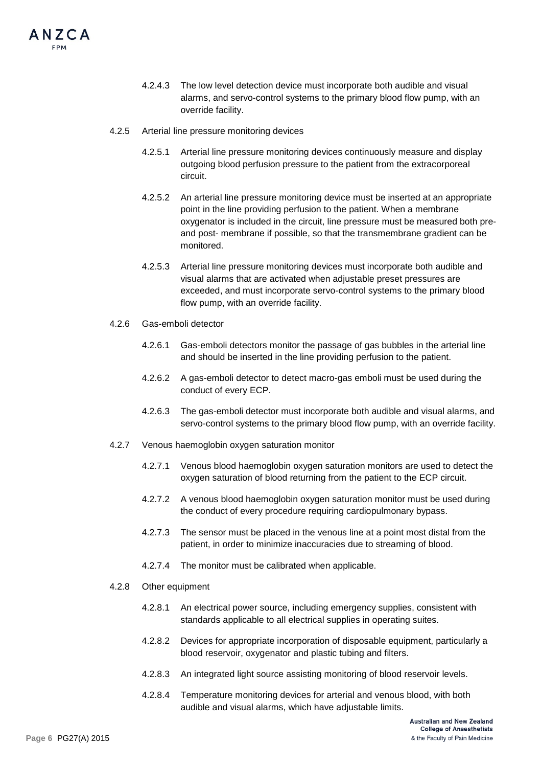- 4.2.4.3 The low level detection device must incorporate both audible and visual alarms, and servo-control systems to the primary blood flow pump, with an override facility.
- 4.2.5 Arterial line pressure monitoring devices
	- 4.2.5.1 Arterial line pressure monitoring devices continuously measure and display outgoing blood perfusion pressure to the patient from the extracorporeal circuit.
	- 4.2.5.2 An arterial line pressure monitoring device must be inserted at an appropriate point in the line providing perfusion to the patient. When a membrane oxygenator is included in the circuit, line pressure must be measured both preand post- membrane if possible, so that the transmembrane gradient can be monitored.
	- 4.2.5.3 Arterial line pressure monitoring devices must incorporate both audible and visual alarms that are activated when adjustable preset pressures are exceeded, and must incorporate servo-control systems to the primary blood flow pump, with an override facility.
- 4.2.6 Gas-emboli detector
	- 4.2.6.1 Gas-emboli detectors monitor the passage of gas bubbles in the arterial line and should be inserted in the line providing perfusion to the patient.
	- 4.2.6.2 A gas-emboli detector to detect macro-gas emboli must be used during the conduct of every ECP.
	- 4.2.6.3 The gas-emboli detector must incorporate both audible and visual alarms, and servo-control systems to the primary blood flow pump, with an override facility.
- 4.2.7 Venous haemoglobin oxygen saturation monitor
	- 4.2.7.1 Venous blood haemoglobin oxygen saturation monitors are used to detect the oxygen saturation of blood returning from the patient to the ECP circuit.
	- 4.2.7.2 A venous blood haemoglobin oxygen saturation monitor must be used during the conduct of every procedure requiring cardiopulmonary bypass.
	- 4.2.7.3 The sensor must be placed in the venous line at a point most distal from the patient, in order to minimize inaccuracies due to streaming of blood.
	- 4.2.7.4 The monitor must be calibrated when applicable.
- 4.2.8 Other equipment
	- 4.2.8.1 An electrical power source, including emergency supplies, consistent with standards applicable to all electrical supplies in operating suites.
	- 4.2.8.2 Devices for appropriate incorporation of disposable equipment, particularly a blood reservoir, oxygenator and plastic tubing and filters.
	- 4.2.8.3 An integrated light source assisting monitoring of blood reservoir levels.
	- 4.2.8.4 Temperature monitoring devices for arterial and venous blood, with both audible and visual alarms, which have adjustable limits.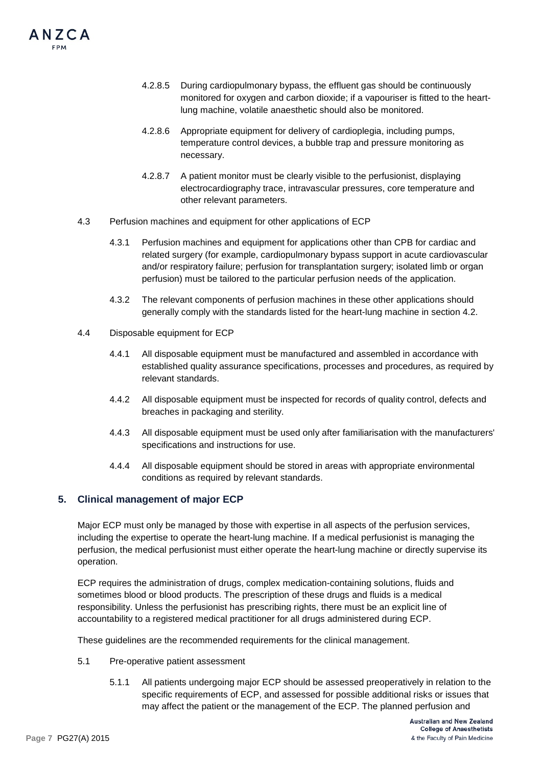

- 4.2.8.5 During cardiopulmonary bypass, the effluent gas should be continuously monitored for oxygen and carbon dioxide; if a vapouriser is fitted to the heartlung machine, volatile anaesthetic should also be monitored.
- 4.2.8.6 Appropriate equipment for delivery of cardioplegia, including pumps, temperature control devices, a bubble trap and pressure monitoring as necessary.
- 4.2.8.7 A patient monitor must be clearly visible to the perfusionist, displaying electrocardiography trace, intravascular pressures, core temperature and other relevant parameters.
- 4.3 Perfusion machines and equipment for other applications of ECP
	- 4.3.1 Perfusion machines and equipment for applications other than CPB for cardiac and related surgery (for example, cardiopulmonary bypass support in acute cardiovascular and/or respiratory failure; perfusion for transplantation surgery; isolated limb or organ perfusion) must be tailored to the particular perfusion needs of the application.
	- 4.3.2 The relevant components of perfusion machines in these other applications should generally comply with the standards listed for the heart-lung machine in section 4.2.
- 4.4 Disposable equipment for ECP
	- 4.4.1 All disposable equipment must be manufactured and assembled in accordance with established quality assurance specifications, processes and procedures, as required by relevant standards.
	- 4.4.2 All disposable equipment must be inspected for records of quality control, defects and breaches in packaging and sterility.
	- 4.4.3 All disposable equipment must be used only after familiarisation with the manufacturers' specifications and instructions for use.
	- 4.4.4 All disposable equipment should be stored in areas with appropriate environmental conditions as required by relevant standards.

#### **5. Clinical management of major ECP**

Major ECP must only be managed by those with expertise in all aspects of the perfusion services, including the expertise to operate the heart-lung machine. If a medical perfusionist is managing the perfusion, the medical perfusionist must either operate the heart-lung machine or directly supervise its operation.

ECP requires the administration of drugs, complex medication-containing solutions, fluids and sometimes blood or blood products. The prescription of these drugs and fluids is a medical responsibility. Unless the perfusionist has prescribing rights, there must be an explicit line of accountability to a registered medical practitioner for all drugs administered during ECP.

These guidelines are the recommended requirements for the clinical management.

- 5.1 Pre-operative patient assessment
	- 5.1.1 All patients undergoing major ECP should be assessed preoperatively in relation to the specific requirements of ECP, and assessed for possible additional risks or issues that may affect the patient or the management of the ECP. The planned perfusion and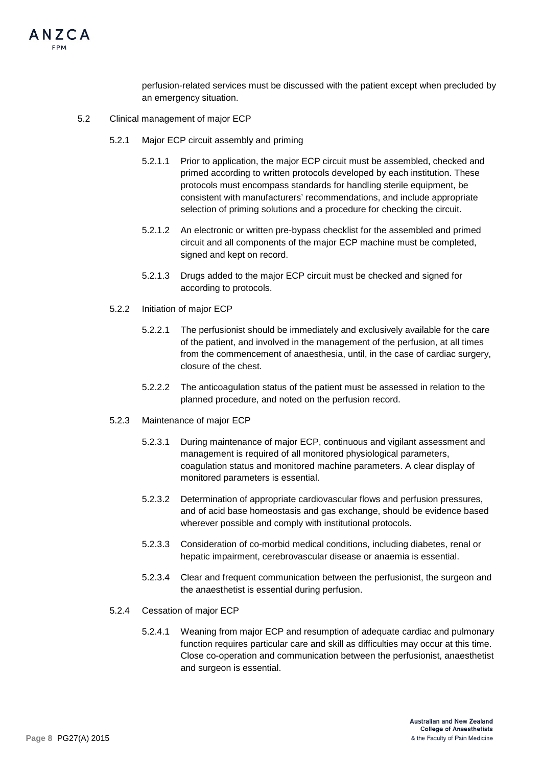

perfusion-related services must be discussed with the patient except when precluded by an emergency situation.

- 5.2 Clinical management of major ECP
	- 5.2.1 Major ECP circuit assembly and priming
		- 5.2.1.1 Prior to application, the major ECP circuit must be assembled, checked and primed according to written protocols developed by each institution. These protocols must encompass standards for handling sterile equipment, be consistent with manufacturers' recommendations, and include appropriate selection of priming solutions and a procedure for checking the circuit.
		- 5.2.1.2 An electronic or written pre-bypass checklist for the assembled and primed circuit and all components of the major ECP machine must be completed, signed and kept on record.
		- 5.2.1.3 Drugs added to the major ECP circuit must be checked and signed for according to protocols.
	- 5.2.2 Initiation of major ECP
		- 5.2.2.1 The perfusionist should be immediately and exclusively available for the care of the patient, and involved in the management of the perfusion, at all times from the commencement of anaesthesia, until, in the case of cardiac surgery, closure of the chest.
		- 5.2.2.2 The anticoagulation status of the patient must be assessed in relation to the planned procedure, and noted on the perfusion record.
	- 5.2.3 Maintenance of major ECP
		- 5.2.3.1 During maintenance of major ECP, continuous and vigilant assessment and management is required of all monitored physiological parameters, coagulation status and monitored machine parameters. A clear display of monitored parameters is essential.
		- 5.2.3.2 Determination of appropriate cardiovascular flows and perfusion pressures, and of acid base homeostasis and gas exchange, should be evidence based wherever possible and comply with institutional protocols.
		- 5.2.3.3 Consideration of co-morbid medical conditions, including diabetes, renal or hepatic impairment, cerebrovascular disease or anaemia is essential.
		- 5.2.3.4 Clear and frequent communication between the perfusionist, the surgeon and the anaesthetist is essential during perfusion.
	- 5.2.4 Cessation of major ECP
		- 5.2.4.1 Weaning from major ECP and resumption of adequate cardiac and pulmonary function requires particular care and skill as difficulties may occur at this time. Close co-operation and communication between the perfusionist, anaesthetist and surgeon is essential.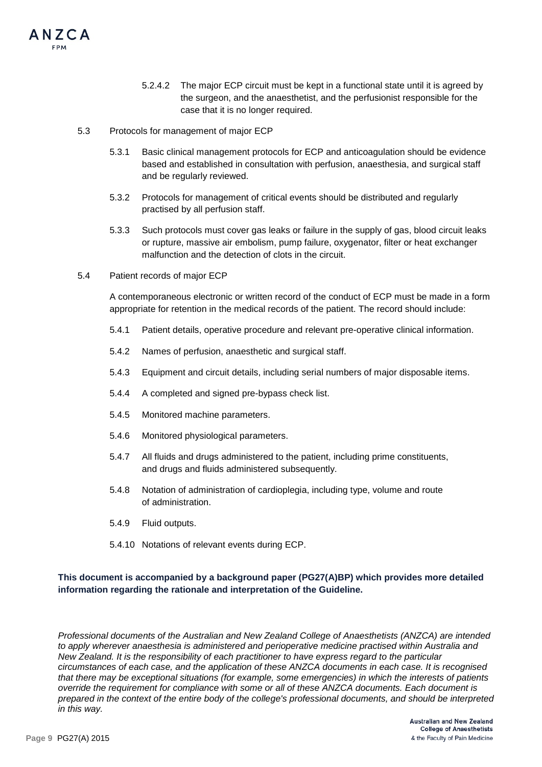

5.3 Protocols for management of major ECP

ANZCA

- 5.3.1 Basic clinical management protocols for ECP and anticoagulation should be evidence based and established in consultation with perfusion, anaesthesia, and surgical staff and be regularly reviewed.
- 5.3.2 Protocols for management of critical events should be distributed and regularly practised by all perfusion staff.
- 5.3.3 Such protocols must cover gas leaks or failure in the supply of gas, blood circuit leaks or rupture, massive air embolism, pump failure, oxygenator, filter or heat exchanger malfunction and the detection of clots in the circuit.
- 5.4 Patient records of major ECP

A contemporaneous electronic or written record of the conduct of ECP must be made in a form appropriate for retention in the medical records of the patient. The record should include:

- 5.4.1 Patient details, operative procedure and relevant pre-operative clinical information.
- 5.4.2 Names of perfusion, anaesthetic and surgical staff.
- 5.4.3 Equipment and circuit details, including serial numbers of major disposable items.
- 5.4.4 A completed and signed pre-bypass check list.
- 5.4.5 Monitored machine parameters.
- 5.4.6 Monitored physiological parameters.
- 5.4.7 All fluids and drugs administered to the patient, including prime constituents, and drugs and fluids administered subsequently.
- 5.4.8 Notation of administration of cardioplegia, including type, volume and route of administration.
- 5.4.9 Fluid outputs.
- 5.4.10 Notations of relevant events during ECP.

### **This document is accompanied by a background paper (PG27(A)BP) which provides more detailed information regarding the rationale and interpretation of the Guideline.**

*Professional documents of the Australian and New Zealand College of Anaesthetists (ANZCA) are intended to apply wherever anaesthesia is administered and perioperative medicine practised within Australia and New Zealand. It is the responsibility of each practitioner to have express regard to the particular circumstances of each case, and the application of these ANZCA documents in each case. It is recognised that there may be exceptional situations (for example, some emergencies) in which the interests of patients override the requirement for compliance with some or all of these ANZCA documents. Each document is prepared in the context of the entire body of the college's professional documents, and should be interpreted in this way.*